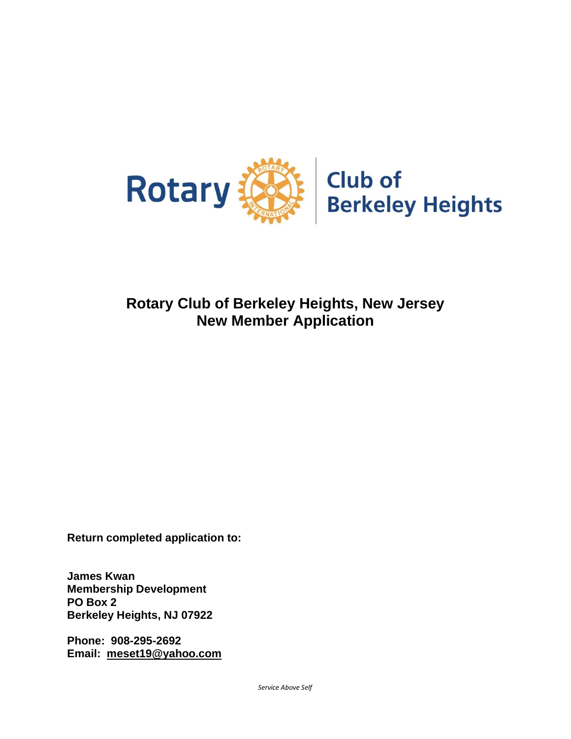

## **Rotary Club of Berkeley Heights, New Jersey New Member Application**

**Return completed application to:**

**James Kwan Membership Development PO Box 2 Berkeley Heights, NJ 07922**

**Phone: 908-295-2692 Email: [meset19@yahoo.com](mailto:meset19@yahoo.com)**

*Service Above Self*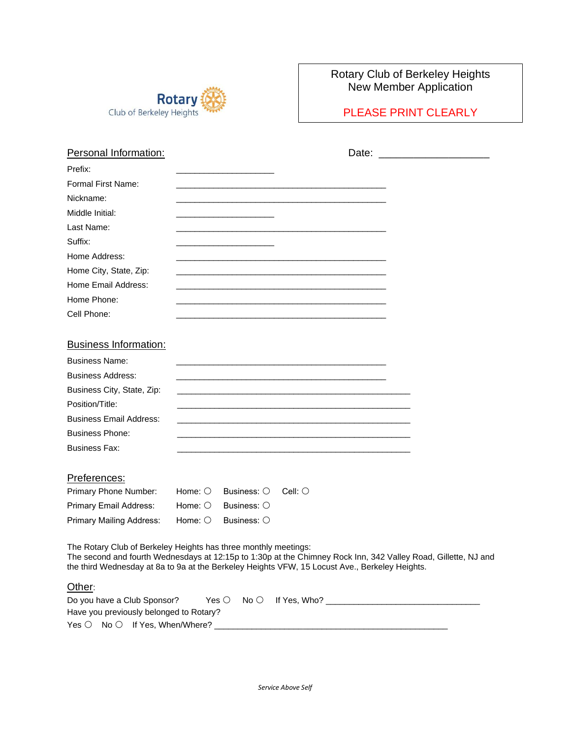

## Rotary Club of Berkeley Heights New Member Application

PLEASE PRINT CLEARLY

| Personal Information:                   | Date:                                                                                                                                                                                                                                                                               |
|-----------------------------------------|-------------------------------------------------------------------------------------------------------------------------------------------------------------------------------------------------------------------------------------------------------------------------------------|
| Prefix:                                 |                                                                                                                                                                                                                                                                                     |
| Formal First Name:                      |                                                                                                                                                                                                                                                                                     |
| Nickname:                               |                                                                                                                                                                                                                                                                                     |
| Middle Initial:                         |                                                                                                                                                                                                                                                                                     |
| Last Name:                              |                                                                                                                                                                                                                                                                                     |
| Suffix:                                 |                                                                                                                                                                                                                                                                                     |
| Home Address:                           |                                                                                                                                                                                                                                                                                     |
| Home City, State, Zip:                  |                                                                                                                                                                                                                                                                                     |
| Home Email Address:                     |                                                                                                                                                                                                                                                                                     |
| Home Phone:                             | <u> 1989 - Johann John Stein, markin fan it ferskearre fan it ferskearre fan it ferskearre fan it ferskearre fan i</u>                                                                                                                                                              |
| Cell Phone:                             |                                                                                                                                                                                                                                                                                     |
| <b>Business Information:</b>            |                                                                                                                                                                                                                                                                                     |
| <b>Business Name:</b>                   |                                                                                                                                                                                                                                                                                     |
|                                         |                                                                                                                                                                                                                                                                                     |
| <b>Business Address:</b>                |                                                                                                                                                                                                                                                                                     |
| Business City, State, Zip:              |                                                                                                                                                                                                                                                                                     |
| Position/Title:                         |                                                                                                                                                                                                                                                                                     |
| <b>Business Email Address:</b>          |                                                                                                                                                                                                                                                                                     |
| <b>Business Phone:</b>                  |                                                                                                                                                                                                                                                                                     |
| <b>Business Fax:</b>                    |                                                                                                                                                                                                                                                                                     |
| Preferences:                            |                                                                                                                                                                                                                                                                                     |
| Primary Phone Number:                   | Home: $\bigcirc$<br>Business: $\bigcirc$<br>$Cell:$ $\bigcirc$                                                                                                                                                                                                                      |
| Primary Email Address:                  | Home: $\bigcirc$<br>Business: $\bigcirc$                                                                                                                                                                                                                                            |
| <b>Primary Mailing Address:</b>         | Business: $\bigcirc$<br>Home: $\bigcirc$                                                                                                                                                                                                                                            |
|                                         | The Rotary Club of Berkeley Heights has three monthly meetings:<br>The second and fourth Wednesdays at 12:15p to 1:30p at the Chimney Rock Inn, 342 Valley Road, Gillette, NJ and<br>the third Wednesday at 8a to 9a at the Berkeley Heights VFW, 15 Locust Ave., Berkeley Heights. |
| Other:                                  |                                                                                                                                                                                                                                                                                     |
| Do you have a Club Sponsor?             | $No$ $\circ$<br>Yes $\bigcirc$                                                                                                                                                                                                                                                      |
| Have you previously belonged to Rotary? |                                                                                                                                                                                                                                                                                     |
| Yes ○ No ○ If Yes, When/Where?          |                                                                                                                                                                                                                                                                                     |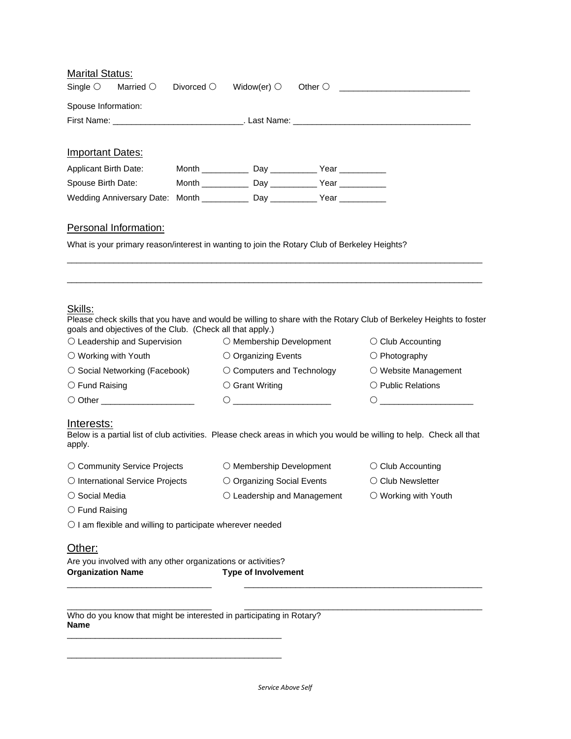| <b>Marital Status:</b>                                                                       |                     |                                                                                                                                                                                                                                                                                                                                                                         |  |                                                                                                                      |  |
|----------------------------------------------------------------------------------------------|---------------------|-------------------------------------------------------------------------------------------------------------------------------------------------------------------------------------------------------------------------------------------------------------------------------------------------------------------------------------------------------------------------|--|----------------------------------------------------------------------------------------------------------------------|--|
| Single $\bigcirc$<br>Married $\bigcirc$                                                      | Divorced $\bigcirc$ | Widow(er) $\circlearrowright$                                                                                                                                                                                                                                                                                                                                           |  |                                                                                                                      |  |
| Spouse Information:                                                                          |                     |                                                                                                                                                                                                                                                                                                                                                                         |  |                                                                                                                      |  |
|                                                                                              |                     |                                                                                                                                                                                                                                                                                                                                                                         |  |                                                                                                                      |  |
|                                                                                              |                     |                                                                                                                                                                                                                                                                                                                                                                         |  |                                                                                                                      |  |
| <b>Important Dates:</b>                                                                      |                     |                                                                                                                                                                                                                                                                                                                                                                         |  |                                                                                                                      |  |
| <b>Applicant Birth Date:</b>                                                                 |                     |                                                                                                                                                                                                                                                                                                                                                                         |  |                                                                                                                      |  |
| Spouse Birth Date:                                                                           |                     | Month ________________ Day ________________ Year ______________                                                                                                                                                                                                                                                                                                         |  |                                                                                                                      |  |
| Wedding Anniversary Date: Month ____________ Day ___________ Year ___________                |                     |                                                                                                                                                                                                                                                                                                                                                                         |  |                                                                                                                      |  |
| Personal Information:                                                                        |                     |                                                                                                                                                                                                                                                                                                                                                                         |  |                                                                                                                      |  |
| What is your primary reason/interest in wanting to join the Rotary Club of Berkeley Heights? |                     |                                                                                                                                                                                                                                                                                                                                                                         |  |                                                                                                                      |  |
|                                                                                              |                     |                                                                                                                                                                                                                                                                                                                                                                         |  |                                                                                                                      |  |
|                                                                                              |                     |                                                                                                                                                                                                                                                                                                                                                                         |  |                                                                                                                      |  |
|                                                                                              |                     |                                                                                                                                                                                                                                                                                                                                                                         |  |                                                                                                                      |  |
|                                                                                              |                     |                                                                                                                                                                                                                                                                                                                                                                         |  |                                                                                                                      |  |
| Skills:                                                                                      |                     |                                                                                                                                                                                                                                                                                                                                                                         |  |                                                                                                                      |  |
| goals and objectives of the Club. (Check all that apply.)                                    |                     |                                                                                                                                                                                                                                                                                                                                                                         |  | Please check skills that you have and would be willing to share with the Rotary Club of Berkeley Heights to foster   |  |
| $\circlearrowright$ Leadership and Supervision                                               |                     | $\circlearrowright$ Membership Development                                                                                                                                                                                                                                                                                                                              |  | $\circlearrowright$ Club Accounting                                                                                  |  |
| $\bigcirc$ Working with Youth                                                                |                     | $\circ$ Organizing Events                                                                                                                                                                                                                                                                                                                                               |  | $\bigcirc$ Photography                                                                                               |  |
| ○ Social Networking (Facebook)                                                               |                     | $\circlearrowright$ Computers and Technology                                                                                                                                                                                                                                                                                                                            |  | ○ Website Management                                                                                                 |  |
| $\circlearrowright$ Fund Raising                                                             |                     | ○ Grant Writing                                                                                                                                                                                                                                                                                                                                                         |  | $\bigcirc$ Public Relations                                                                                          |  |
| O Other _______________________                                                              |                     | $\begin{picture}(180,10) \put(0,0){\dashbox{0.5}(10,0){ }} \put(10,0){\dashbox{0.5}(10,0){ }} \put(10,0){\dashbox{0.5}(10,0){ }} \put(10,0){\dashbox{0.5}(10,0){ }} \put(10,0){\dashbox{0.5}(10,0){ }} \put(10,0){\dashbox{0.5}(10,0){ }} \put(10,0){\dashbox{0.5}(10,0){ }} \put(10,0){\dashbox{0.5}(10,0){ }} \put(10,0){\dashbox{0.5}(10,0){ }} \put(10,0){\dashbox$ |  | Ő                                                                                                                    |  |
|                                                                                              |                     |                                                                                                                                                                                                                                                                                                                                                                         |  |                                                                                                                      |  |
| Interests:<br>apply.                                                                         |                     |                                                                                                                                                                                                                                                                                                                                                                         |  | Below is a partial list of club activities. Please check areas in which you would be willing to help. Check all that |  |
| ○ Community Service Projects                                                                 |                     | O Membership Development                                                                                                                                                                                                                                                                                                                                                |  | $\circlearrowright$ Club Accounting                                                                                  |  |
| O International Service Projects                                                             |                     | $\circ$ Organizing Social Events                                                                                                                                                                                                                                                                                                                                        |  | $\circlearrowright$ Club Newsletter                                                                                  |  |
| $\circ$ Social Media                                                                         |                     | $\circlearrowright$ Leadership and Management                                                                                                                                                                                                                                                                                                                           |  | $\bigcirc$ Working with Youth                                                                                        |  |
| $\circlearrowright$ Fund Raising                                                             |                     |                                                                                                                                                                                                                                                                                                                                                                         |  |                                                                                                                      |  |
| O I am flexible and willing to participate wherever needed                                   |                     |                                                                                                                                                                                                                                                                                                                                                                         |  |                                                                                                                      |  |
| Other:                                                                                       |                     |                                                                                                                                                                                                                                                                                                                                                                         |  |                                                                                                                      |  |
| Are you involved with any other organizations or activities?                                 |                     |                                                                                                                                                                                                                                                                                                                                                                         |  |                                                                                                                      |  |
| <b>Organization Name</b>                                                                     |                     | <b>Type of Involvement</b>                                                                                                                                                                                                                                                                                                                                              |  |                                                                                                                      |  |
|                                                                                              |                     |                                                                                                                                                                                                                                                                                                                                                                         |  |                                                                                                                      |  |
|                                                                                              |                     |                                                                                                                                                                                                                                                                                                                                                                         |  |                                                                                                                      |  |

Who do you know that might be interested in participating in Rotary? **Name** \_\_\_\_\_\_\_\_\_\_\_\_\_\_\_\_\_\_\_\_\_\_\_\_\_\_\_\_\_\_\_\_\_\_\_\_\_\_\_\_\_\_\_\_\_\_

\_\_\_\_\_\_\_\_\_\_\_\_\_\_\_\_\_\_\_\_\_\_\_\_\_\_\_\_\_\_\_\_\_\_\_\_\_\_\_\_\_\_\_\_\_\_